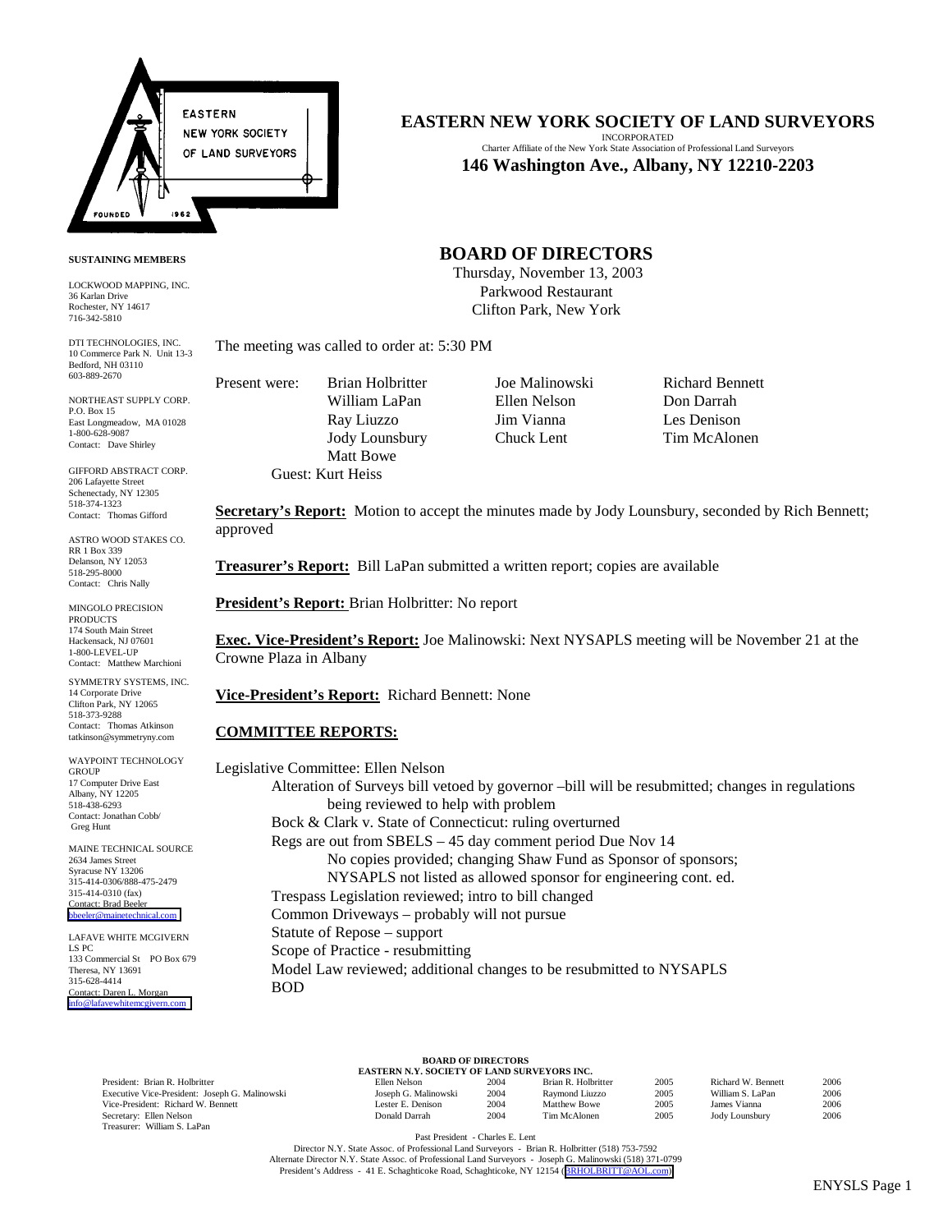

### **SUSTAINING MEMBERS**

LOCKWOOD MAPPING, INC. 36 Karlan Drive Rochester, NY 14617 716-342-5810

DTI TECHNOLOGIES, INC. 10 Commerce Park N. Unit 13-3 Bedford, NH 03110 603-889-2670

NORTHEAST SUPPLY CORP. P.O. Box 15 East Longmeadow, MA 01028 1-800-628-9087 Contact: Dave Shirley

GIFFORD ABSTRACT CORP. 206 Lafayette Stree Schenectady, NY 12305 518-374-1323 Contact: Thomas Gifford

ASTRO WOOD STAKES CO. RR 1 Box 339 Delanson, NY 12053 518-295-8000 Contact: Chris Nally

MINGOLO PRECISION PRODUCTS 174 South Main Street Hackensack, NJ 07601 1-800-LEVEL-UP Contact: Matthew Marchioni

SYMMETRY SYSTEMS, INC. 14 Corporate Drive Clifton Park, NY 12065 518-373-9288 Contact: Thomas Atkinson tatkinson@symmetryny.com

WAYPOINT TECHNOLOGY **GROUP** 17 Computer Drive East Albany, NY 12205 518-438-6293 Contact: Jonathan Cobb/ Greg Hunt

MAINE TECHNICAL SOURCE 2634 James Street Syracuse NY 13206 315-414-0306/888-475-2479 315-414-0310 (fax) Contact: Brad Beeler [bbeeler@mainetechnical.com](mailto:bbeeler@mainetechnical.com)

LAFAVE WHITE MCGIVERN LS PC 133 Commercial St PO Box 679 Theresa, NY 13691 315-628-4414 Contact: Daren L. Morgan [info@lafavewhitemcgivern.com](mailto:info@lafavewhitemcgivern.com)

### **EASTERN NEW YORK SOCIETY OF LAND SURVEYORS**

INCORPORATED Charter Affiliate of the New York State Association of Professional Land Surveyors **146 Washington Ave., Albany, NY 12210-2203**

## **BOARD OF DIRECTORS**

 Thursday, November 13, 2003 Parkwood Restaurant Clifton Park, New York

The meeting was called to order at: 5:30 PM

Present were: Brian Holbritter Joe Malinowski Richard Bennett William LaPan Ellen Nelson Don Darrah Ray Liuzzo Jim Vianna Les Denison Jody Lounsbury Chuck Lent Tim McAlonen Matt Bowe Guest: Kurt Heiss

**Secretary's Report:** Motion to accept the minutes made by Jody Lounsbury, seconded by Rich Bennett; approved

**Treasurer's Report:** Bill LaPan submitted a written report; copies are available

**President's Report:** Brian Holbritter: No report

**Exec. Vice-President's Report:** Joe Malinowski: Next NYSAPLS meeting will be November 21 at the Crowne Plaza in Albany

**Vice-President's Report:** Richard Bennett: None

### **COMMITTEE REPORTS:**

Legislative Committee: Ellen Nelson Alteration of Surveys bill vetoed by governor –bill will be resubmitted; changes in regulations being reviewed to help with problem Bock & Clark v. State of Connecticut: ruling overturned Regs are out from SBELS – 45 day comment period Due Nov 14 No copies provided; changing Shaw Fund as Sponsor of sponsors; NYSAPLS not listed as allowed sponsor for engineering cont. ed. Trespass Legislation reviewed; intro to bill changed Common Driveways – probably will not pursue Statute of Repose – support Scope of Practice - resubmitting Model Law reviewed; additional changes to be resubmitted to NYSAPLS BOD

President: Brian R. Holbritter Executive Vice-President: Joseph G. Malinowski Vice-President: Richard W. Bennett Secretary: Ellen Nelson Treasurer: William S. LaPan

#### **BOARD OF DIRECTORS EASTERN N.Y. SOCIETY OF LAND SURVEYORS INC.**

| Ellen Nelson         | 2004 | Brian R. Holbritter | 2005 | Richard W. Bennett | 2006 |
|----------------------|------|---------------------|------|--------------------|------|
| Joseph G. Malinowski | 2004 | Raymond Liuzzo      | 2005 | William S. LaPan   | 2006 |
| Lester E. Denison    | 2004 | Matthew Bowe        | 2005 | James Vianna       | 2006 |
| Donald Darrah        | 2004 | Tim McAlonen        | 2005 | Jody Lounsbury     | 2006 |
|                      |      |                     |      |                    |      |

Past President - Charles E. Lent

Director N.Y. State Assoc. of Professional Land Surveyors - Brian R. Holbritter (518) 753-7592 Alternate Director N.Y. State Assoc. of Professional Land Surveyors - Joseph G. Malinowski (518) 371-0799<br>President's Address - 41 E. Schaghticoke Road, Schaghticoke, NY 12154 ([BRHOLBRITT@AOL.com\)](mailto:BRHOLBRITT@AOL.com)